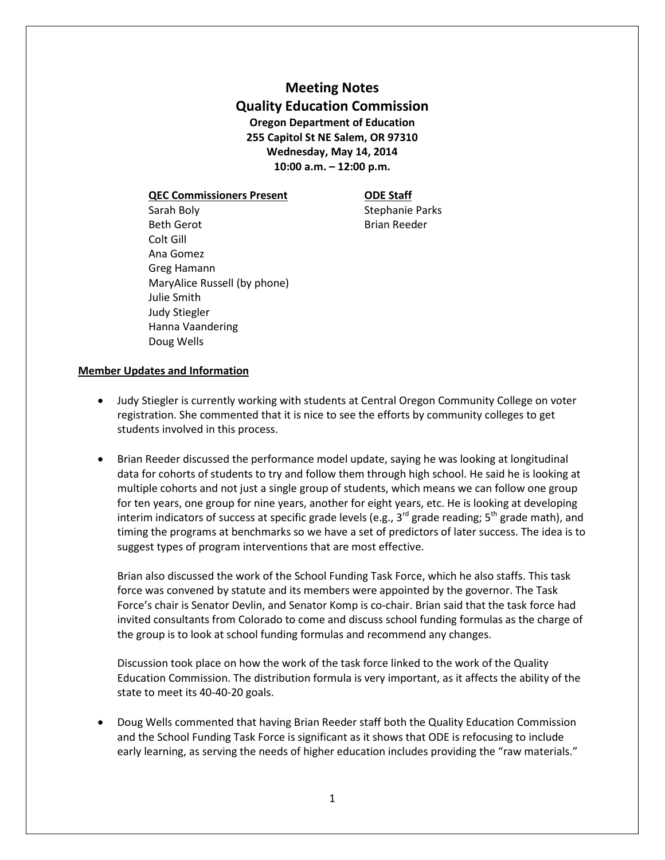**Meeting Notes Quality Education Commission Oregon Department of Education 255 Capitol St NE Salem, OR 97310 Wednesday, May 14, 2014 10:00 a.m. – 12:00 p.m.**

**QEC Commissioners Present ODE Staff** Sarah Boly **Sarah Boly** Stephanie Parks Beth Gerot **Brian Reeder** 

Colt Gill Ana Gomez Greg Hamann MaryAlice Russell (by phone) Julie Smith Judy Stiegler Hanna Vaandering Doug Wells

## **Member Updates and Information**

- Judy Stiegler is currently working with students at Central Oregon Community College on voter registration. She commented that it is nice to see the efforts by community colleges to get students involved in this process.
- Brian Reeder discussed the performance model update, saying he was looking at longitudinal data for cohorts of students to try and follow them through high school. He said he is looking at multiple cohorts and not just a single group of students, which means we can follow one group for ten years, one group for nine years, another for eight years, etc. He is looking at developing interim indicators of success at specific grade levels (e.g., 3<sup>rd</sup> grade reading; 5<sup>th</sup> grade math), and timing the programs at benchmarks so we have a set of predictors of later success. The idea is to suggest types of program interventions that are most effective.

Brian also discussed the work of the School Funding Task Force, which he also staffs. This task force was convened by statute and its members were appointed by the governor. The Task Force's chair is Senator Devlin, and Senator Komp is co-chair. Brian said that the task force had invited consultants from Colorado to come and discuss school funding formulas as the charge of the group is to look at school funding formulas and recommend any changes.

Discussion took place on how the work of the task force linked to the work of the Quality Education Commission. The distribution formula is very important, as it affects the ability of the state to meet its 40-40-20 goals.

• Doug Wells commented that having Brian Reeder staff both the Quality Education Commission and the School Funding Task Force is significant as it shows that ODE is refocusing to include early learning, as serving the needs of higher education includes providing the "raw materials."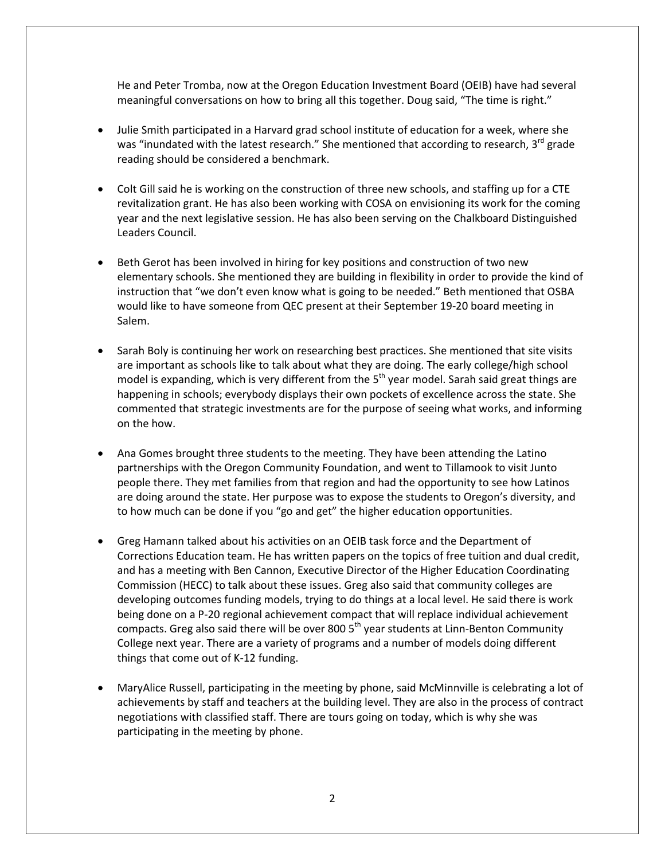He and Peter Tromba, now at the Oregon Education Investment Board (OEIB) have had several meaningful conversations on how to bring all this together. Doug said, "The time is right."

- Julie Smith participated in a Harvard grad school institute of education for a week, where she was "inundated with the latest research." She mentioned that according to research,  $3^{rd}$  grade reading should be considered a benchmark.
- Colt Gill said he is working on the construction of three new schools, and staffing up for a CTE revitalization grant. He has also been working with COSA on envisioning its work for the coming year and the next legislative session. He has also been serving on the Chalkboard Distinguished Leaders Council.
- Beth Gerot has been involved in hiring for key positions and construction of two new elementary schools. She mentioned they are building in flexibility in order to provide the kind of instruction that "we don't even know what is going to be needed." Beth mentioned that OSBA would like to have someone from QEC present at their September 19-20 board meeting in Salem.
- Sarah Boly is continuing her work on researching best practices. She mentioned that site visits are important as schools like to talk about what they are doing. The early college/high school model is expanding, which is very different from the  $5<sup>th</sup>$  year model. Sarah said great things are happening in schools; everybody displays their own pockets of excellence across the state. She commented that strategic investments are for the purpose of seeing what works, and informing on the how.
- Ana Gomes brought three students to the meeting. They have been attending the Latino partnerships with the Oregon Community Foundation, and went to Tillamook to visit Junto people there. They met families from that region and had the opportunity to see how Latinos are doing around the state. Her purpose was to expose the students to Oregon's diversity, and to how much can be done if you "go and get" the higher education opportunities.
- Greg Hamann talked about his activities on an OEIB task force and the Department of Corrections Education team. He has written papers on the topics of free tuition and dual credit, and has a meeting with Ben Cannon, Executive Director of the Higher Education Coordinating Commission (HECC) to talk about these issues. Greg also said that community colleges are developing outcomes funding models, trying to do things at a local level. He said there is work being done on a P-20 regional achievement compact that will replace individual achievement compacts. Greg also said there will be over 800 5<sup>th</sup> year students at Linn-Benton Community College next year. There are a variety of programs and a number of models doing different things that come out of K-12 funding.
- MaryAlice Russell, participating in the meeting by phone, said McMinnville is celebrating a lot of achievements by staff and teachers at the building level. They are also in the process of contract negotiations with classified staff. There are tours going on today, which is why she was participating in the meeting by phone.